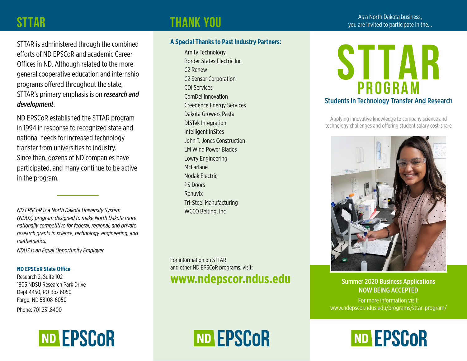#### **STTAR**

## As a North Dakota business, **THANK YOU**<br>As a North Dakota business, pour are invited to participate in the…

STTAR is administered through the combined efforts of ND EPSCoR and academic Career Offices in ND. Although related to the more general cooperative education and internship programs offered throughout the state, STTAR's primary emphasis is on *research and development*.

ND EPSCoR established the STTAR program in 1994 in response to recognized state and national needs for increased technology transfer from universities to industry. Since then, dozens of ND companies have participated, and many continue to be active in the program.

*ND EPSCoR is a North Dakota University System (NDUS) program designed to make North Dakota more nationally competitive for federal, regional, and private research grants in science, technology, engineering, and mathematics.* 

*NDUS is an Equal Opportunity Employer.*

#### **ND EPSCoR State Office**

Research 2, Suite 102 1805 NDSU Research Park Drive Dept 4450, PO Box 6050 Fargo, ND 58108-6050

Phone: 701.231.8400



#### **A Special Thanks to Past Industry Partners:**

Amity Technology Border States Electric Inc. C2 Renew C2 Sensor Corporation CDI Services ComDel Innovation Creedence Energy Services Dakota Growers Pasta DISTek Integration Intelligent InSites John T. Jones Construction LM Wind Power Blades Lowry Engineering **McFarlane** Nodak Electric PS Doors Renuvix Tri-Steel Manufacturing WCCO Belting, Inc

For information on STTAR and other ND EPSCoR programs, visit: **www.ndepscor.ndus.edu**

ND EPSCOR



Applying innovative knowledge to company science and technology challenges and offering student salary cost-share



Summer 2020 Business Applications NOW BEING ACCEPTED

For more information visit: www.ndepscor.ndus.edu/programs/sttar-program/